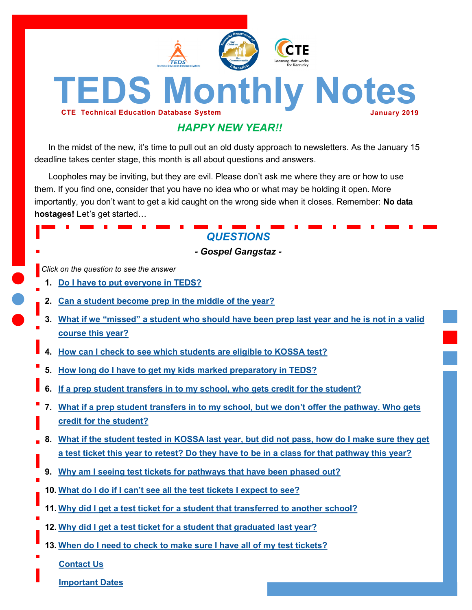

# *HAPPY NEW YEAR!!*

In the midst of the new, it's time to pull out an old dusty approach to newsletters. As the January 15 deadline takes center stage, this month is all about questions and answers.

Loopholes may be inviting, but they are evil. Please don't ask me where they are or how to use them. If you find one, consider that you have no idea who or what may be holding it open. More importantly, you don't want to get a kid caught on the wrong side when it closes. Remember: **No data hostages!** Let's get started…

# *QUESTIONS*

*- Gospel Gangstaz -*

*Click on the question to see the answer*

- **1. [Do I have to put everyone in TEDS?](#page-1-0)**
- **2. [Can a student become prep in the middle of the year?](#page-1-0)**
- **3. [What if we "missed" a student who should have been prep last year and he is not in a valid](#page-1-0)  [course this year?](#page-1-0)**
- **4. [How can I check to see which students are eligible to KOSSA test?](#page-1-0)**
- **5. [How long do I have to get my kids marked preparatory in TEDS?](#page-1-0)**
- **6. [If a prep student transfers in to my school, who gets credit for the student?](#page-1-0)**
- **7. [What if a prep student transfers in to my school, but we don't offer the pathway. Who gets](#page-2-0)  [credit for the student?](#page-2-0)**
- **8. [What if the student tested in KOSSA last year, but did not pass, how do I make sure they get](#page-2-0)  [a test ticket this year to retest? Do they have to be in a class for that pathway this year?](#page-2-0)**
- **9. [Why am I seeing test tickets for pathways that have been phased out?](#page-2-0)**
- **10. [What do I do if I can't see all the test tickets I expect to see?](#page-2-0)**
- **11. [Why did I get a test ticket for a student that transferred to another school?](#page-2-0)**
- **12. [Why did I get a test ticket for a student that graduated last year?](#page-3-0)**
- **13. [When do I need to check to make sure I have all of my test tickets?](#page-3-0)**

**[Contact Us](#page-3-0)**

**[Important Dates](#page-3-0)**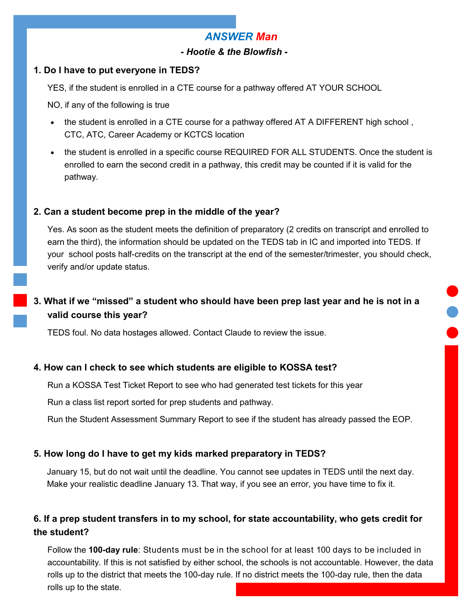## *ANSWER Man*

### *- Hootie & the Blowfish -*

#### <span id="page-1-0"></span>**1. Do I have to put everyone in TEDS?**

YES, if the student is enrolled in a CTE course for a pathway offered AT YOUR SCHOOL

NO, if any of the following is true

- the student is enrolled in a CTE course for a pathway offered AT A DIFFERENT high school, CTC, ATC, Career Academy or KCTCS location
- the student is enrolled in a specific course REQUIRED FOR ALL STUDENTS. Once the student is enrolled to earn the second credit in a pathway, this credit may be counted if it is valid for the pathway.

### **2. Can a student become prep in the middle of the year?**

Yes. As soon as the student meets the definition of preparatory (2 credits on transcript and enrolled to earn the third), the information should be updated on the TEDS tab in IC and imported into TEDS. If your school posts half-credits on the transcript at the end of the semester/trimester, you should check, verify and/or update status.

## **3. What if we "missed" a student who should have been prep last year and he is not in a valid course this year?**

TEDS foul. No data hostages allowed. Contact Claude to review the issue.

#### **4. How can I check to see which students are eligible to KOSSA test?**

Run a KOSSA Test Ticket Report to see who had generated test tickets for this year

Run a class list report sorted for prep students and pathway.

Run the Student Assessment Summary Report to see if the student has already passed the EOP.

### **5. How long do I have to get my kids marked preparatory in TEDS?**

January 15, but do not wait until the deadline. You cannot see updates in TEDS until the next day. Make your realistic deadline January 13. That way, if you see an error, you have time to fix it.

### **6. If a prep student transfers in to my school, for state accountability, who gets credit for the student?**

Follow the **100-day rule**: Students must be in the school for at least 100 days to be included in accountability. If this is not satisfied by either school, the schools is not accountable. However, the data rolls up to the district that meets the 100-day rule. If no district meets the 100-day rule, then the data rolls up to the state.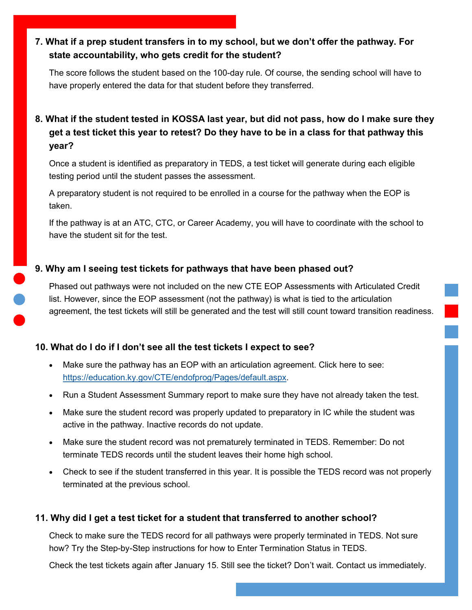### <span id="page-2-0"></span>**7. What if a prep student transfers in to my school, but we don't offer the pathway. For state accountability, who gets credit for the student?**

The score follows the student based on the 100-day rule. Of course, the sending school will have to have properly entered the data for that student before they transferred.

## **8. What if the student tested in KOSSA last year, but did not pass, how do I make sure they get a test ticket this year to retest? Do they have to be in a class for that pathway this year?**

Once a student is identified as preparatory in TEDS, a test ticket will generate during each eligible testing period until the student passes the assessment.

A preparatory student is not required to be enrolled in a course for the pathway when the EOP is taken.

If the pathway is at an ATC, CTC, or Career Academy, you will have to coordinate with the school to have the student sit for the test.

### **9. Why am I seeing test tickets for pathways that have been phased out?**

Phased out pathways were not included on the new CTE EOP Assessments with Articulated Credit list. However, since the EOP assessment (not the pathway) is what is tied to the articulation agreement, the test tickets will still be generated and the test will still count toward transition readiness.

### **10. What do I do if I don't see all the test tickets I expect to see?**

- Make sure the pathway has an EOP with an articulation agreement. Click here to see: [https://education.ky.gov/CTE/endofprog/Pages/default.aspx.](https://education.ky.gov/CTE/endofprog/Pages/default.aspx)
- Run a Student Assessment Summary report to make sure they have not already taken the test.
- Make sure the student record was properly updated to preparatory in IC while the student was active in the pathway. Inactive records do not update.
- Make sure the student record was not prematurely terminated in TEDS. Remember: Do not terminate TEDS records until the student leaves their home high school.
- Check to see if the student transferred in this year. It is possible the TEDS record was not properly terminated at the previous school.

### **11. Why did I get a test ticket for a student that transferred to another school?**

Check to make sure the TEDS record for all pathways were properly terminated in TEDS. Not sure how? Try the Step-by-Step instructions for how to Enter Termination Status in TEDS.

Check the test tickets again after January 15. Still see the ticket? Don't wait. Contact us immediately.